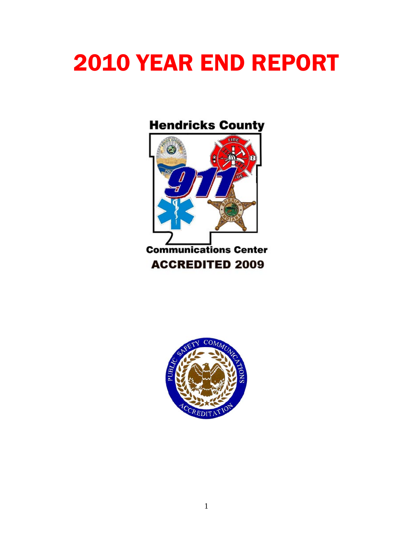# YEAR END REPORT

# **Hendricks County**



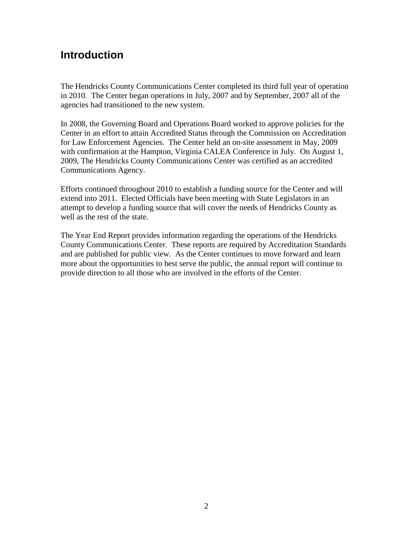## **Introduction**

The Hendricks County Communications Center completed its third full year of operation in 2010. The Center began operations in July, 2007 and by September, 2007 all of the agencies had transitioned to the new system.

In 2008, the Governing Board and Operations Board worked to approve policies for the Center in an effort to attain Accredited Status through the Commission on Accreditation for Law Enforcement Agencies. The Center held an on-site assessment in May, 2009 with confirmation at the Hampton, Virginia CALEA Conference in July. On August 1, 2009, The Hendricks County Communications Center was certified as an accredited Communications Agency.

Efforts continued throughout 2010 to establish a funding source for the Center and will extend into 2011. Elected Officials have been meeting with State Legislators in an attempt to develop a funding source that will cover the needs of Hendricks County as well as the rest of the state.

The Year End Report provides information regarding the operations of the Hendricks County Communications Center. These reports are required by Accreditation Standards and are published for public view. As the Center continues to move forward and learn more about the opportunities to best serve the public, the annual report will continue to provide direction to all those who are involved in the efforts of the Center.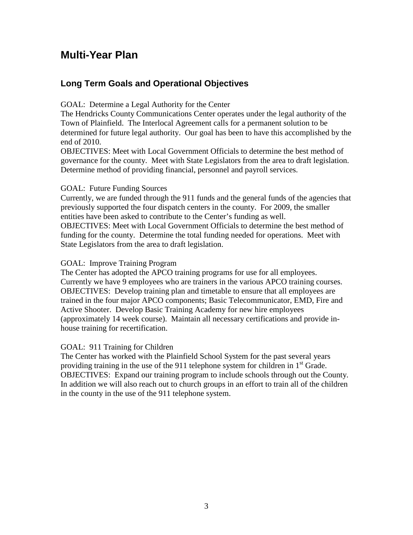## **Multi-Year Plan**

## **Long Term Goals and Operational Objectives**

GOAL: Determine a Legal Authority for the Center

The Hendricks County Communications Center operates under the legal authority of the Town of Plainfield. The Interlocal Agreement calls for a permanent solution to be determined for future legal authority. Our goal has been to have this accomplished by the end of 2010.

OBJECTIVES: Meet with Local Government Officials to determine the best method of governance for the county. Meet with State Legislators from the area to draft legislation. Determine method of providing financial, personnel and payroll services.

#### GOAL: Future Funding Sources

Currently, we are funded through the 911 funds and the general funds of the agencies that previously supported the four dispatch centers in the county. For 2009, the smaller entities have been asked to contribute to the Center's funding as well. OBJECTIVES: Meet with Local Government Officials to determine the best method of funding for the county. Determine the total funding needed for operations. Meet with State Legislators from the area to draft legislation.

#### GOAL: Improve Training Program

The Center has adopted the APCO training programs for use for all employees. Currently we have 9 employees who are trainers in the various APCO training courses. OBJECTIVES: Develop training plan and timetable to ensure that all employees are trained in the four major APCO components; Basic Telecommunicator, EMD, Fire and Active Shooter. Develop Basic Training Academy for new hire employees (approximately 14 week course). Maintain all necessary certifications and provide inhouse training for recertification.

#### GOAL: 911 Training for Children

The Center has worked with the Plainfield School System for the past several years providing training in the use of the 911 telephone system for children in  $1<sup>st</sup>$  Grade. OBJECTIVES: Expand our training program to include schools through out the County. In addition we will also reach out to church groups in an effort to train all of the children in the county in the use of the 911 telephone system.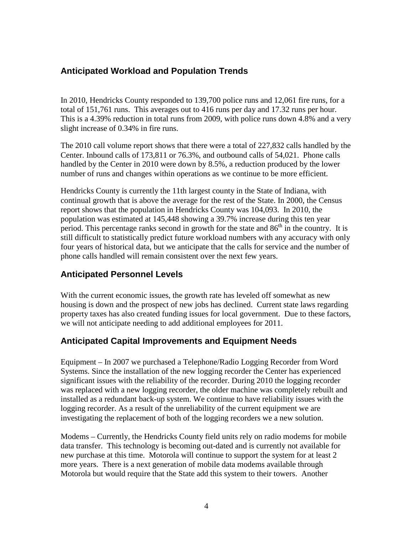## **Anticipated Workload and Population Trends**

In 2010, Hendricks County responded to 139,700 police runs and 12,061 fire runs, for a total of 151,761 runs. This averages out to 416 runs per day and 17.32 runs per hour. This is a 4.39% reduction in total runs from 2009, with police runs down 4.8% and a very slight increase of 0.34% in fire runs.

The 2010 call volume report shows that there were a total of 227,832 calls handled by the Center. Inbound calls of 173,811 or 76.3%, and outbound calls of 54,021. Phone calls handled by the Center in 2010 were down by 8.5%, a reduction produced by the lower number of runs and changes within operations as we continue to be more efficient.

Hendricks County is currently the 11th largest county in the State of Indiana, with continual growth that is above the average for the rest of the State. In 2000, the Census report shows that the population in Hendricks County was 104,093. In 2010, the population was estimated at 145,448 showing a 39.7% increase during this ten year period. This percentage ranks second in growth for the state and  $86<sup>th</sup>$  in the country. It is still difficult to statistically predict future workload numbers with any accuracy with only four years of historical data, but we anticipate that the calls for service and the number of phone calls handled will remain consistent over the next few years.

## **Anticipated Personnel Levels**

With the current economic issues, the growth rate has leveled off somewhat as new housing is down and the prospect of new jobs has declined. Current state laws regarding property taxes has also created funding issues for local government. Due to these factors, we will not anticipate needing to add additional employees for 2011.

## **Anticipated Capital Improvements and Equipment Needs**

Equipment – In 2007 we purchased a Telephone/Radio Logging Recorder from Word Systems. Since the installation of the new logging recorder the Center has experienced significant issues with the reliability of the recorder. During 2010 the logging recorder was replaced with a new logging recorder, the older machine was completely rebuilt and installed as a redundant back-up system. We continue to have reliability issues with the logging recorder. As a result of the unreliability of the current equipment we are investigating the replacement of both of the logging recorders we a new solution.

Modems – Currently, the Hendricks County field units rely on radio modems for mobile data transfer. This technology is becoming out-dated and is currently not available for new purchase at this time. Motorola will continue to support the system for at least 2 more years. There is a next generation of mobile data modems available through Motorola but would require that the State add this system to their towers. Another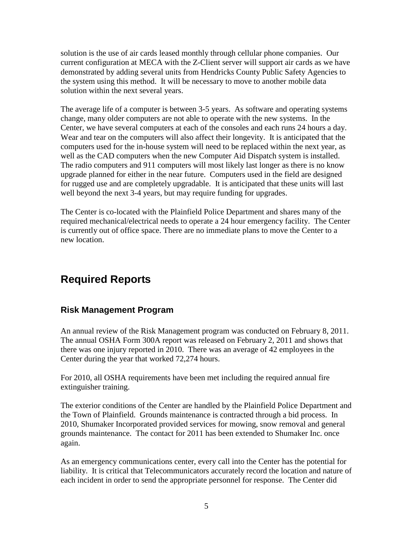solution is the use of air cards leased monthly through cellular phone companies. Our current configuration at MECA with the Z-Client server will support air cards as we have demonstrated by adding several units from Hendricks County Public Safety Agencies to the system using this method. It will be necessary to move to another mobile data solution within the next several years.

The average life of a computer is between 3-5 years. As software and operating systems change, many older computers are not able to operate with the new systems. In the Center, we have several computers at each of the consoles and each runs 24 hours a day. Wear and tear on the computers will also affect their longevity. It is anticipated that the computers used for the in-house system will need to be replaced within the next year, as well as the CAD computers when the new Computer Aid Dispatch system is installed. The radio computers and 911 computers will most likely last longer as there is no know upgrade planned for either in the near future. Computers used in the field are designed for rugged use and are completely upgradable. It is anticipated that these units will last well beyond the next 3-4 years, but may require funding for upgrades.

The Center is co-located with the Plainfield Police Department and shares many of the required mechanical/electrical needs to operate a 24 hour emergency facility. The Center is currently out of office space. There are no immediate plans to move the Center to a new location.

## **Required Reports**

## **Risk Management Program**

An annual review of the Risk Management program was conducted on February 8, 2011. The annual OSHA Form 300A report was released on February 2, 2011 and shows that there was one injury reported in 2010. There was an average of 42 employees in the Center during the year that worked 72,274 hours.

For 2010, all OSHA requirements have been met including the required annual fire extinguisher training.

The exterior conditions of the Center are handled by the Plainfield Police Department and the Town of Plainfield. Grounds maintenance is contracted through a bid process. In 2010, Shumaker Incorporated provided services for mowing, snow removal and general grounds maintenance. The contact for 2011 has been extended to Shumaker Inc. once again.

As an emergency communications center, every call into the Center has the potential for liability. It is critical that Telecommunicators accurately record the location and nature of each incident in order to send the appropriate personnel for response. The Center did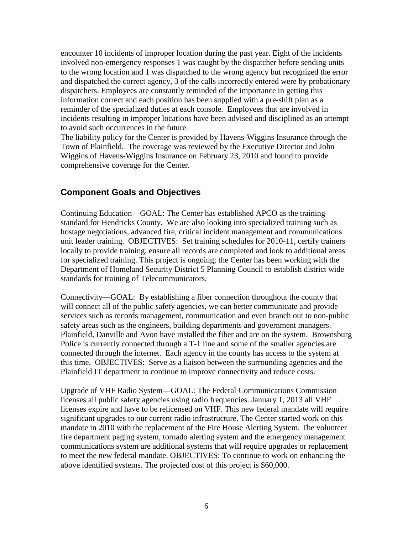encounter 10 incidents of improper location during the past year. Eight of the incidents involved non-emergency responses 1 was caught by the dispatcher before sending units to the wrong location and 1 was dispatched to the wrong agency but recognized the error and dispatched the correct agency, 3 of the calls incorrectly entered were by probationary dispatchers. Employees are constantly reminded of the importance in getting this information correct and each position has been supplied with a pre-shift plan as a reminder of the specialized duties at each console. Employees that are involved in incidents resulting in improper locations have been advised and disciplined as an attempt to avoid such occurrences in the future.

The liability policy for the Center is provided by Havens-Wiggins Insurance through the Town of Plainfield. The coverage was reviewed by the Executive Director and John Wiggins of Havens-Wiggins Insurance on February 23, 2010 and found to provide comprehensive coverage for the Center.

## **Component Goals and Objectives**

Continuing Education—GOAL: The Center has established APCO as the training standard for Hendricks County. We are also looking into specialized training such as hostage negotiations, advanced fire, critical incident management and communications unit leader training. OBJECTIVES: Set training schedules for 2010-11, certify trainers locally to provide training, ensure all records are completed and look to additional areas for specialized training. This project is ongoing; the Center has been working with the Department of Homeland Security District 5 Planning Council to establish district wide standards for training of Telecommunicators.

Connectivity—GOAL: By establishing a fiber connection throughout the county that will connect all of the public safety agencies, we can better communicate and provide services such as records management, communication and even branch out to non-public safety areas such as the engineers, building departments and government managers. Plainfield, Danville and Avon have installed the fiber and are on the system. Brownsburg Police is currently connected through a T-1 line and some of the smaller agencies are connected through the internet. Each agency in the county has access to the system at this time. OBJECTIVES: Serve as a liaison between the surrounding agencies and the Plainfield IT department to continue to improve connectivity and reduce costs.

Upgrade of VHF Radio System—GOAL: The Federal Communications Commission licenses all public safety agencies using radio frequencies. January 1, 2013 all VHF licenses expire and have to be relicensed on VHF. This new federal mandate will require significant upgrades to our current radio infrastructure. The Center started work on this mandate in 2010 with the replacement of the Fire House Alerting System. The volunteer fire department paging system, tornado alerting system and the emergency management communications system are additional systems that will require upgrades or replacement to meet the new federal mandate. OBJECTIVES: To continue to work on enhancing the above identified systems. The projected cost of this project is \$60,000.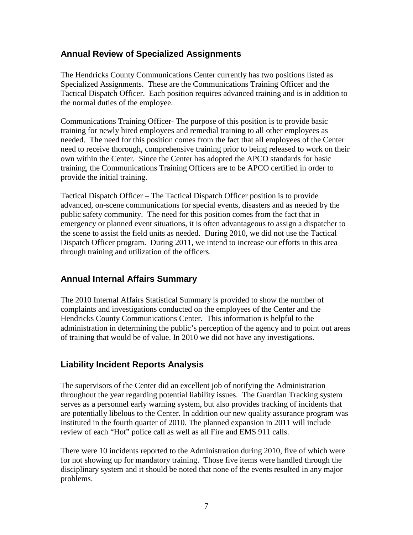#### **Annual Review of Specialized Assignments**

The Hendricks County Communications Center currently has two positions listed as Specialized Assignments. These are the Communications Training Officer and the Tactical Dispatch Officer. Each position requires advanced training and is in addition to the normal duties of the employee.

Communications Training Officer- The purpose of this position is to provide basic training for newly hired employees and remedial training to all other employees as needed. The need for this position comes from the fact that all employees of the Center need to receive thorough, comprehensive training prior to being released to work on their own within the Center. Since the Center has adopted the APCO standards for basic training, the Communications Training Officers are to be APCO certified in order to provide the initial training.

Tactical Dispatch Officer – The Tactical Dispatch Officer position is to provide advanced, on-scene communications for special events, disasters and as needed by the public safety community. The need for this position comes from the fact that in emergency or planned event situations, it is often advantageous to assign a dispatcher to the scene to assist the field units as needed. During 2010, we did not use the Tactical Dispatch Officer program. During 2011, we intend to increase our efforts in this area through training and utilization of the officers.

## **Annual Internal Affairs Summary**

The 2010 Internal Affairs Statistical Summary is provided to show the number of complaints and investigations conducted on the employees of the Center and the Hendricks County Communications Center. This information is helpful to the administration in determining the public's perception of the agency and to point out areas of training that would be of value. In 2010 we did not have any investigations.

## **Liability Incident Reports Analysis**

The supervisors of the Center did an excellent job of notifying the Administration throughout the year regarding potential liability issues. The Guardian Tracking system serves as a personnel early warning system, but also provides tracking of incidents that are potentially libelous to the Center. In addition our new quality assurance program was instituted in the fourth quarter of 2010. The planned expansion in 2011 will include review of each "Hot" police call as well as all Fire and EMS 911 calls.

There were 10 incidents reported to the Administration during 2010, five of which were for not showing up for mandatory training. Those five items were handled through the disciplinary system and it should be noted that none of the events resulted in any major problems.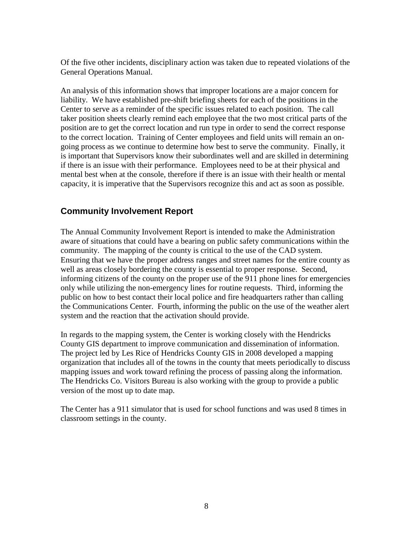Of the five other incidents, disciplinary action was taken due to repeated violations of the General Operations Manual.

An analysis of this information shows that improper locations are a major concern for liability. We have established pre-shift briefing sheets for each of the positions in the Center to serve as a reminder of the specific issues related to each position. The call taker position sheets clearly remind each employee that the two most critical parts of the position are to get the correct location and run type in order to send the correct response to the correct location. Training of Center employees and field units will remain an ongoing process as we continue to determine how best to serve the community. Finally, it is important that Supervisors know their subordinates well and are skilled in determining if there is an issue with their performance. Employees need to be at their physical and mental best when at the console, therefore if there is an issue with their health or mental capacity, it is imperative that the Supervisors recognize this and act as soon as possible.

## **Community Involvement Report**

The Annual Community Involvement Report is intended to make the Administration aware of situations that could have a bearing on public safety communications within the community. The mapping of the county is critical to the use of the CAD system. Ensuring that we have the proper address ranges and street names for the entire county as well as areas closely bordering the county is essential to proper response. Second, informing citizens of the county on the proper use of the 911 phone lines for emergencies only while utilizing the non-emergency lines for routine requests. Third, informing the public on how to best contact their local police and fire headquarters rather than calling the Communications Center. Fourth, informing the public on the use of the weather alert system and the reaction that the activation should provide.

In regards to the mapping system, the Center is working closely with the Hendricks County GIS department to improve communication and dissemination of information. The project led by Les Rice of Hendricks County GIS in 2008 developed a mapping organization that includes all of the towns in the county that meets periodically to discuss mapping issues and work toward refining the process of passing along the information. The Hendricks Co. Visitors Bureau is also working with the group to provide a public version of the most up to date map.

The Center has a 911 simulator that is used for school functions and was used 8 times in classroom settings in the county.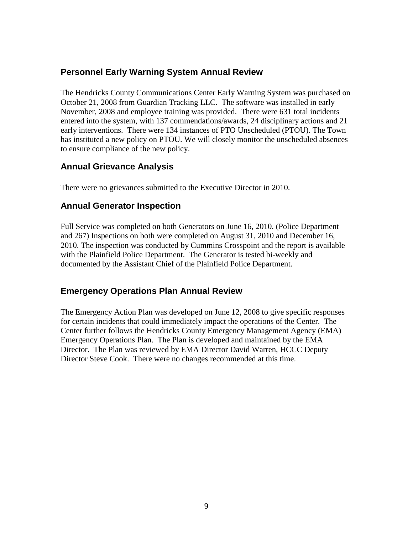## **Personnel Early Warning System Annual Review**

The Hendricks County Communications Center Early Warning System was purchased on October 21, 2008 from Guardian Tracking LLC. The software was installed in early November, 2008 and employee training was provided. There were 631 total incidents entered into the system, with 137 commendations/awards, 24 disciplinary actions and 21 early interventions. There were 134 instances of PTO Unscheduled (PTOU). The Town has instituted a new policy on PTOU. We will closely monitor the unscheduled absences to ensure compliance of the new policy.

#### **Annual Grievance Analysis**

There were no grievances submitted to the Executive Director in 2010.

#### **Annual Generator Inspection**

Full Service was completed on both Generators on June 16, 2010. (Police Department and 267) Inspections on both were completed on August 31, 2010 and December 16, 2010. The inspection was conducted by Cummins Crosspoint and the report is available with the Plainfield Police Department. The Generator is tested bi-weekly and documented by the Assistant Chief of the Plainfield Police Department.

#### **Emergency Operations Plan Annual Review**

The Emergency Action Plan was developed on June 12, 2008 to give specific responses for certain incidents that could immediately impact the operations of the Center. The Center further follows the Hendricks County Emergency Management Agency (EMA) Emergency Operations Plan. The Plan is developed and maintained by the EMA Director. The Plan was reviewed by EMA Director David Warren, HCCC Deputy Director Steve Cook. There were no changes recommended at this time.